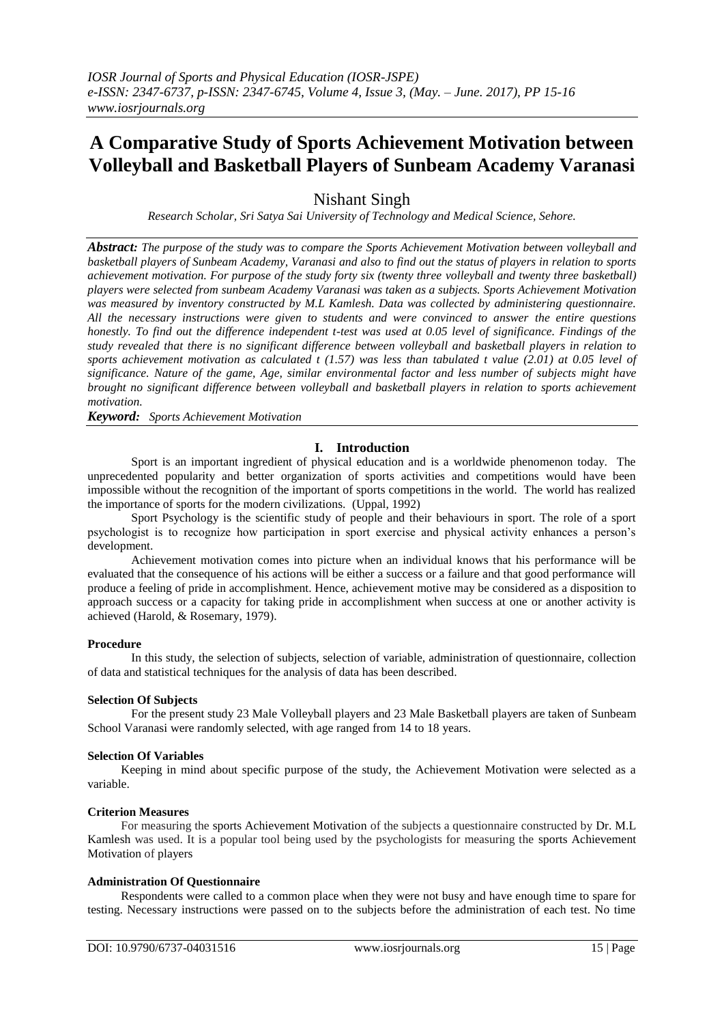# **A Comparative Study of Sports Achievement Motivation between Volleyball and Basketball Players of Sunbeam Academy Varanasi**

Nishant Singh

*Research Scholar, Sri Satya Sai University of Technology and Medical Science, Sehore.*

*Abstract: The purpose of the study was to compare the Sports Achievement Motivation between volleyball and basketball players of Sunbeam Academy, Varanasi and also to find out the status of players in relation to sports achievement motivation. For purpose of the study forty six (twenty three volleyball and twenty three basketball) players were selected from sunbeam Academy Varanasi was taken as a subjects. Sports Achievement Motivation was measured by inventory constructed by M.L Kamlesh. Data was collected by administering questionnaire. All the necessary instructions were given to students and were convinced to answer the entire questions honestly. To find out the difference independent t-test was used at 0.05 level of significance. Findings of the study revealed that there is no significant difference between volleyball and basketball players in relation to sports achievement motivation as calculated t (1.57) was less than tabulated t value (2.01) at 0.05 level of significance. Nature of the game, Age, similar environmental factor and less number of subjects might have brought no significant difference between volleyball and basketball players in relation to sports achievement motivation.*

*Keyword: Sports Achievement Motivation* 

# **I. Introduction**

Sport is an important ingredient of physical education and is a worldwide phenomenon today. The unprecedented popularity and better organization of sports activities and competitions would have been impossible without the recognition of the important of sports competitions in the world. The world has realized the importance of sports for the modern civilizations. (Uppal, 1992)

Sport Psychology is the scientific study of people and their behaviours in sport. The role of a sport psychologist is to recognize how participation in sport exercise and physical activity enhances a person's development.

Achievement motivation comes into picture when an individual knows that his performance will be evaluated that the consequence of his actions will be either a success or a failure and that good performance will produce a feeling of pride in accomplishment. Hence, achievement motive may be considered as a disposition to approach success or a capacity for taking pride in accomplishment when success at one or another activity is achieved (Harold, & Rosemary, 1979).

## **Procedure**

In this study, the selection of subjects, selection of variable, administration of questionnaire, collection of data and statistical techniques for the analysis of data has been described.

## **Selection Of Subjects**

For the present study 23 Male Volleyball players and 23 Male Basketball players are taken of Sunbeam School Varanasi were randomly selected, with age ranged from 14 to 18 years.

## **Selection Of Variables**

 Keeping in mind about specific purpose of the study, the Achievement Motivation were selected as a variable.

## **Criterion Measures**

 For measuring the sports Achievement Motivation of the subjects a questionnaire constructed by Dr. M.L Kamlesh was used. It is a popular tool being used by the psychologists for measuring the sports Achievement Motivation of players

## **Administration Of Questionnaire**

 Respondents were called to a common place when they were not busy and have enough time to spare for testing. Necessary instructions were passed on to the subjects before the administration of each test. No time